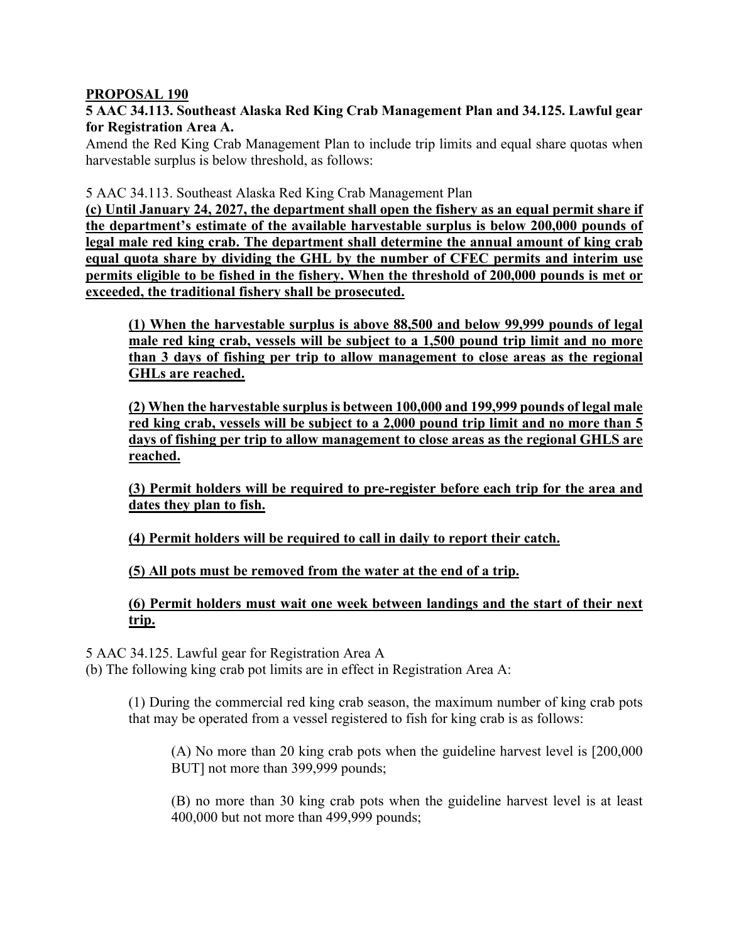## **PROPOSAL 190**

**5 AAC 34.113. Southeast Alaska Red King Crab Management Plan and 34.125. Lawful gear for Registration Area A.**

Amend the Red King Crab Management Plan to include trip limits and equal share quotas when harvestable surplus is below threshold, as follows:

5 AAC 34.113. Southeast Alaska Red King Crab Management Plan

**(c) Until January 24, 2027, the department shall open the fishery as an equal permit share if the department's estimate of the available harvestable surplus is below 200,000 pounds of legal male red king crab. The department shall determine the annual amount of king crab equal quota share by dividing the GHL by the number of CFEC permits and interim use permits eligible to be fished in the fishery. When the threshold of 200,000 pounds is met or exceeded, the traditional fishery shall be prosecuted.**

**(1) When the harvestable surplus is above 88,500 and below 99,999 pounds of legal male red king crab, vessels will be subject to a 1,500 pound trip limit and no more than 3 days of fishing per trip to allow management to close areas as the regional GHLs are reached.** 

**(2) When the harvestable surplus is between 100,000 and 199,999 pounds of legal male red king crab, vessels will be subject to a 2,000 pound trip limit and no more than 5 days of fishing per trip to allow management to close areas as the regional GHLS are reached.** 

**(3) Permit holders will be required to pre-register before each trip for the area and dates they plan to fish.** 

**(4) Permit holders will be required to call in daily to report their catch.** 

**(5) All pots must be removed from the water at the end of a trip.** 

## **(6) Permit holders must wait one week between landings and the start of their next trip.**

5 AAC 34.125. Lawful gear for Registration Area A

(b) The following king crab pot limits are in effect in Registration Area A:

(1) During the commercial red king crab season, the maximum number of king crab pots that may be operated from a vessel registered to fish for king crab is as follows:

(A) No more than 20 king crab pots when the guideline harvest level is [200,000 BUT] not more than 399,999 pounds;

(B) no more than 30 king crab pots when the guideline harvest level is at least 400,000 but not more than 499,999 pounds;